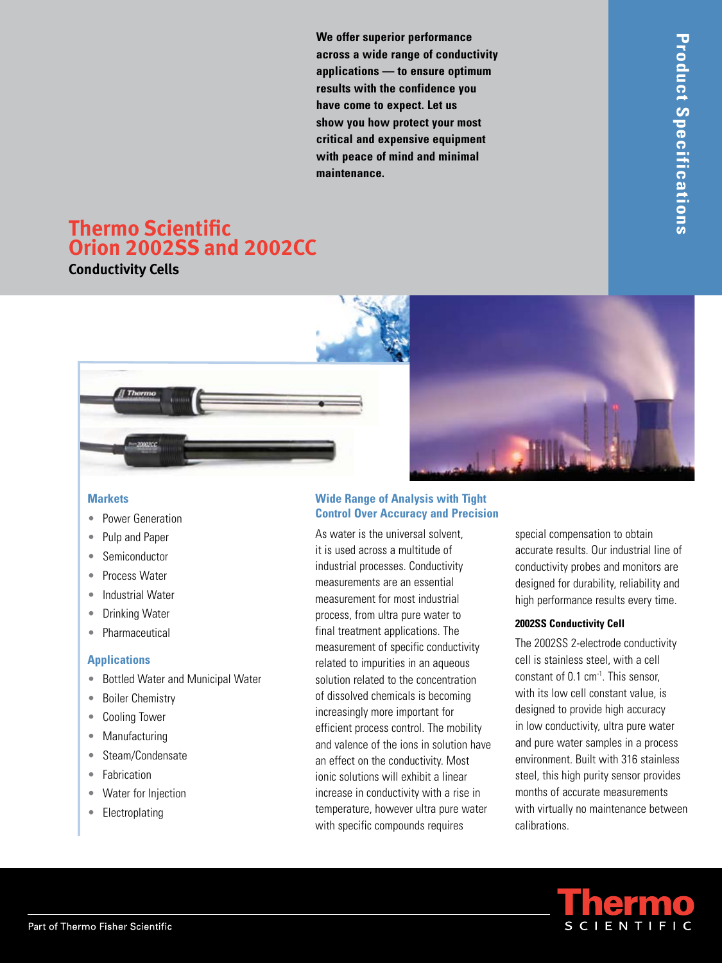**We offer superior performance across a wide range of conductivity applications — to ensure optimum results with the confidence you have come to expect. Let us show you how protect your most critical and expensive equipment with peace of mind and minimal maintenance.**

# **Thermo Scientific Orion 2002SS and 2002CC**

**Conductivity Cells**





#### **Markets**

- Power Generation •
- Pulp and Paper •
- Semiconductor •
- Process Water •
- Industrial Water
- Drinking Water •
- Pharmaceutical •

### **Applications**

- Bottled Water and Municipal Water •
- Boiler Chemistry  $\bullet$
- Cooling Tower •
- Manufacturing
- Steam/Condensate •
- Fabrication •
- Water for Injection •
- Electroplating

#### **Wide Range of Analysis with Tight Control Over Accuracy and Precision**

As water is the universal solvent, it is used across a multitude of industrial processes. Conductivity measurements are an essential measurement for most industrial process, from ultra pure water to final treatment applications. The measurement of specific conductivity related to impurities in an aqueous solution related to the concentration of dissolved chemicals is becoming increasingly more important for efficient process control. The mobility and valence of the ions in solution have an effect on the conductivity. Most ionic solutions will exhibit a linear increase in conductivity with a rise in temperature, however ultra pure water with specific compounds requires

special compensation to obtain accurate results. Our industrial line of conductivity probes and monitors are designed for durability, reliability and high performance results every time.

## **2002SS Conductivity Cell**

The 2002SS 2-electrode conductivity cell is stainless steel, with a cell constant of 0.1 cm<sup>-1</sup>. This sensor, with its low cell constant value, is designed to provide high accuracy in low conductivity, ultra pure water and pure water samples in a process environment. Built with 316 stainless steel, this high purity sensor provides months of accurate measurements with virtually no maintenance between calibrations.